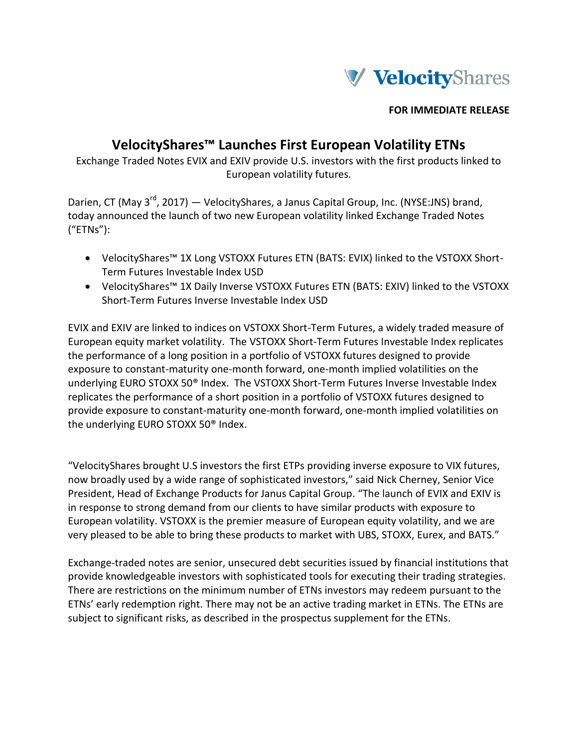

**FOR IMMEDIATE RELEASE**

# **VelocityShares™ Launches First European Volatility ETNs**

Exchange Traded Notes EVIX and EXIV provide U.S. investors with the first products linked to European volatility futures.

Darien, CT (May 3<sup>rd</sup>, 2017) — VelocityShares, a Janus Capital Group, Inc. (NYSE:JNS) brand, today announced the launch of two new European volatility linked Exchange Traded Notes ("ETNs"):

- VelocityShares™ 1X Long VSTOXX Futures ETN (BATS: EVIX) linked to the VSTOXX Short-Term Futures Investable Index USD
- VelocityShares™ 1X Daily Inverse VSTOXX Futures ETN (BATS: EXIV) linked to the VSTOXX Short-Term Futures Inverse Investable Index USD

EVIX and EXIV are linked to indices on VSTOXX Short-Term Futures, a widely traded measure of European equity market volatility. The VSTOXX Short-Term Futures Investable Index replicates the performance of a long position in a portfolio of VSTOXX futures designed to provide exposure to constant-maturity one-month forward, one-month implied volatilities on the underlying EURO STOXX 50® Index. The VSTOXX Short-Term Futures Inverse Investable Index replicates the performance of a short position in a portfolio of VSTOXX futures designed to provide exposure to constant-maturity one-month forward, one-month implied volatilities on the underlying EURO STOXX 50® Index.

"VelocityShares brought U.S investors the first ETPs providing inverse exposure to VIX futures, now broadly used by a wide range of sophisticated investors," said Nick Cherney, Senior Vice President, Head of Exchange Products for Janus Capital Group. "The launch of EVIX and EXIV is in response to strong demand from our clients to have similar products with exposure to European volatility. VSTOXX is the premier measure of European equity volatility, and we are very pleased to be able to bring these products to market with UBS, STOXX, Eurex, and BATS."

Exchange‐traded notes are senior, unsecured debt securities issued by financial institutions that provide knowledgeable investors with sophisticated tools for executing their trading strategies. There are restrictions on the minimum number of ETNs investors may redeem pursuant to the ETNs' early redemption right. There may not be an active trading market in ETNs. The ETNs are subject to significant risks, as described in the prospectus supplement for the ETNs.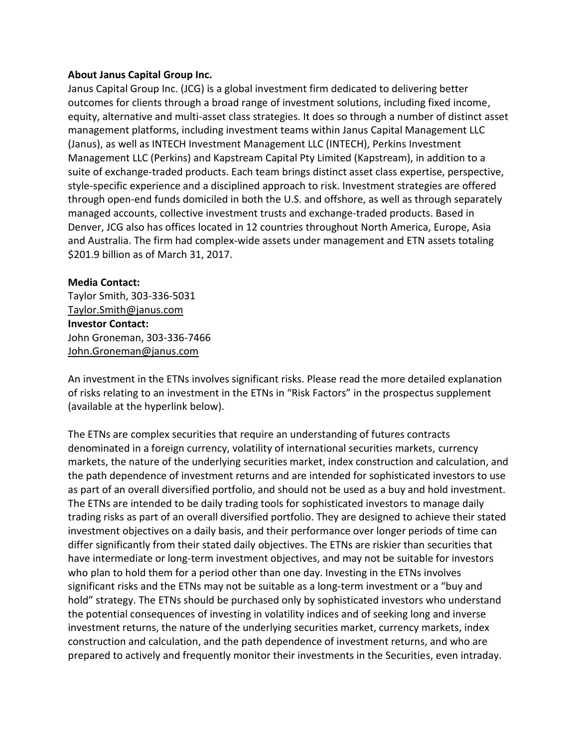#### **About Janus Capital Group Inc.**

Janus Capital Group Inc. (JCG) is a global investment firm dedicated to delivering better outcomes for clients through a broad range of investment solutions, including fixed income, equity, alternative and multi-asset class strategies. It does so through a number of distinct asset management platforms, including investment teams within Janus Capital Management LLC (Janus), as well as INTECH Investment Management LLC (INTECH), Perkins Investment Management LLC (Perkins) and Kapstream Capital Pty Limited (Kapstream), in addition to a suite of exchange-traded products. Each team brings distinct asset class expertise, perspective, style-specific experience and a disciplined approach to risk. Investment strategies are offered through open-end funds domiciled in both the U.S. and offshore, as well as through separately managed accounts, collective investment trusts and exchange-traded products. Based in Denver, JCG also has offices located in 12 countries throughout North America, Europe, Asia and Australia. The firm had complex-wide assets under management and ETN assets totaling \$201.9 billion as of March 31, 2017.

#### **Media Contact:**

Taylor Smith, 303-336-5031 [Taylor.Smith@janus.com](mailto:Taylor.Smith@janus.com) **Investor Contact:** John Groneman, 303-336-7466 [John.Groneman@janus.com](mailto:John.Groneman@janus.com)

An investment in the ETNs involves significant risks. Please read the more detailed explanation of risks relating to an investment in the ETNs in "Risk Factors" in the prospectus supplement (available at the hyperlink below).

The ETNs are complex securities that require an understanding of futures contracts denominated in a foreign currency, volatility of international securities markets, currency markets, the nature of the underlying securities market, index construction and calculation, and the path dependence of investment returns and are intended for sophisticated investors to use as part of an overall diversified portfolio, and should not be used as a buy and hold investment. The ETNs are intended to be daily trading tools for sophisticated investors to manage daily trading risks as part of an overall diversified portfolio. They are designed to achieve their stated investment objectives on a daily basis, and their performance over longer periods of time can differ significantly from their stated daily objectives. The ETNs are riskier than securities that have intermediate or long-term investment objectives, and may not be suitable for investors who plan to hold them for a period other than one day. Investing in the ETNs involves significant risks and the ETNs may not be suitable as a long-term investment or a "buy and hold" strategy. The ETNs should be purchased only by sophisticated investors who understand the potential consequences of investing in volatility indices and of seeking long and inverse investment returns, the nature of the underlying securities market, currency markets, index construction and calculation, and the path dependence of investment returns, and who are prepared to actively and frequently monitor their investments in the Securities, even intraday.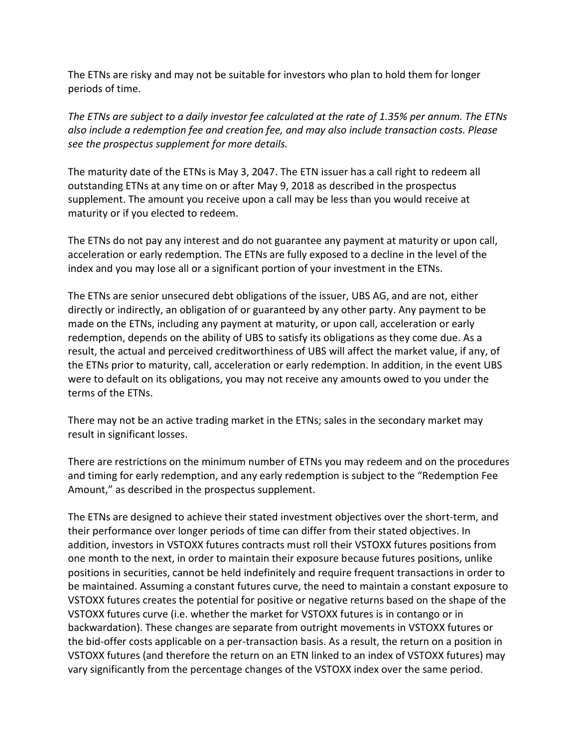The ETNs are risky and may not be suitable for investors who plan to hold them for longer periods of time.

*The ETNs are subject to a daily investor fee calculated at the rate of 1.35% per annum. The ETNs also include a redemption fee and creation fee, and may also include transaction costs. Please see the prospectus supplement for more details.*

The maturity date of the ETNs is May 3, 2047. The ETN issuer has a call right to redeem all outstanding ETNs at any time on or after May 9, 2018 as described in the prospectus supplement. The amount you receive upon a call may be less than you would receive at maturity or if you elected to redeem.

The ETNs do not pay any interest and do not guarantee any payment at maturity or upon call, acceleration or early redemption. The ETNs are fully exposed to a decline in the level of the index and you may lose all or a significant portion of your investment in the ETNs.

The ETNs are senior unsecured debt obligations of the issuer, UBS AG, and are not, either directly or indirectly, an obligation of or guaranteed by any other party. Any payment to be made on the ETNs, including any payment at maturity, or upon call, acceleration or early redemption, depends on the ability of UBS to satisfy its obligations as they come due. As a result, the actual and perceived creditworthiness of UBS will affect the market value, if any, of the ETNs prior to maturity, call, acceleration or early redemption. In addition, in the event UBS were to default on its obligations, you may not receive any amounts owed to you under the terms of the ETNs.

There may not be an active trading market in the ETNs; sales in the secondary market may result in significant losses.

There are restrictions on the minimum number of ETNs you may redeem and on the procedures and timing for early redemption, and any early redemption is subject to the "Redemption Fee Amount," as described in the prospectus supplement.

The ETNs are designed to achieve their stated investment objectives over the short-term, and their performance over longer periods of time can differ from their stated objectives. In addition, investors in VSTOXX futures contracts must roll their VSTOXX futures positions from one month to the next, in order to maintain their exposure because futures positions, unlike positions in securities, cannot be held indefinitely and require frequent transactions in order to be maintained. Assuming a constant futures curve, the need to maintain a constant exposure to VSTOXX futures creates the potential for positive or negative returns based on the shape of the VSTOXX futures curve (i.e. whether the market for VSTOXX futures is in contango or in backwardation). These changes are separate from outright movements in VSTOXX futures or the bid-offer costs applicable on a per-transaction basis. As a result, the return on a position in VSTOXX futures (and therefore the return on an ETN linked to an index of VSTOXX futures) may vary significantly from the percentage changes of the VSTOXX index over the same period.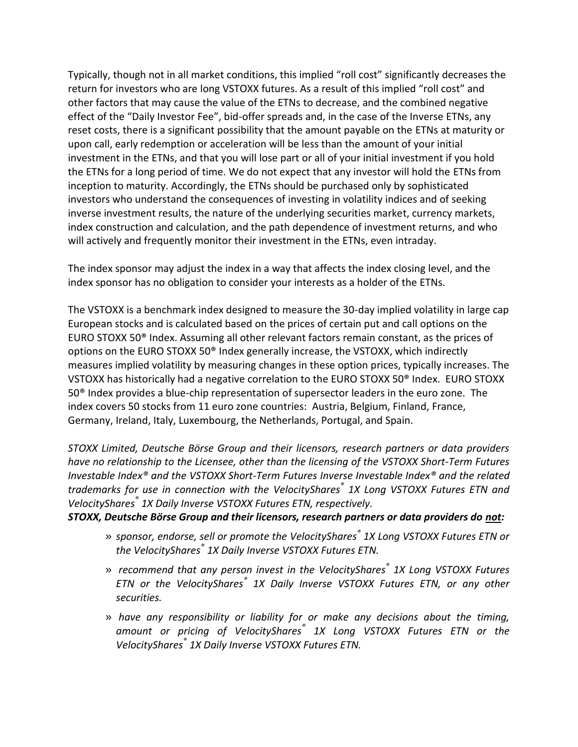Typically, though not in all market conditions, this implied "roll cost" significantly decreases the return for investors who are long VSTOXX futures. As a result of this implied "roll cost" and other factors that may cause the value of the ETNs to decrease, and the combined negative effect of the "Daily Investor Fee", bid-offer spreads and, in the case of the Inverse ETNs, any reset costs, there is a significant possibility that the amount payable on the ETNs at maturity or upon call, early redemption or acceleration will be less than the amount of your initial investment in the ETNs, and that you will lose part or all of your initial investment if you hold the ETNs for a long period of time. We do not expect that any investor will hold the ETNs from inception to maturity. Accordingly, the ETNs should be purchased only by sophisticated investors who understand the consequences of investing in volatility indices and of seeking inverse investment results, the nature of the underlying securities market, currency markets, index construction and calculation, and the path dependence of investment returns, and who will actively and frequently monitor their investment in the ETNs, even intraday.

The index sponsor may adjust the index in a way that affects the index closing level, and the index sponsor has no obligation to consider your interests as a holder of the ETNs.

The VSTOXX is a benchmark index designed to measure the 30-day implied volatility in large cap European stocks and is calculated based on the prices of certain put and call options on the EURO STOXX 50® Index. Assuming all other relevant factors remain constant, as the prices of options on the EURO STOXX 50® Index generally increase, the VSTOXX, which indirectly measures implied volatility by measuring changes in these option prices, typically increases. The VSTOXX has historically had a negative correlation to the EURO STOXX 50® Index. EURO STOXX 50® Index provides a blue-chip representation of supersector leaders in the euro zone. The index covers 50 stocks from 11 euro zone countries: Austria, Belgium, Finland, France, Germany, Ireland, Italy, Luxembourg, the Netherlands, Portugal, and Spain.

*STOXX Limited, Deutsche Börse Group and their licensors, research partners or data providers have no relationship to the Licensee, other than the licensing of the VSTOXX Short-Term Futures Investable Index® and the VSTOXX Short-Term Futures Inverse Investable Index® and the related trademarks for use in connection with the VelocityShares® 1X Long VSTOXX Futures ETN and VelocityShares® 1X Daily Inverse VSTOXX Futures ETN, respectively.*

### *STOXX, Deutsche Börse Group and their licensors, research partners or data providers do not:*

- » *sponsor, endorse, sell or promote the VelocityShares® 1X Long VSTOXX Futures ETN or the VelocityShares® 1X Daily Inverse VSTOXX Futures ETN.*
- » *recommend that any person invest in the VelocityShares® 1X Long VSTOXX Futures ETN or the VelocityShares® 1X Daily Inverse VSTOXX Futures ETN, or any other securities.*
- » *have any responsibility or liability for or make any decisions about the timing, amount or pricing of VelocityShares® 1X Long VSTOXX Futures ETN or the VelocityShares® 1X Daily Inverse VSTOXX Futures ETN.*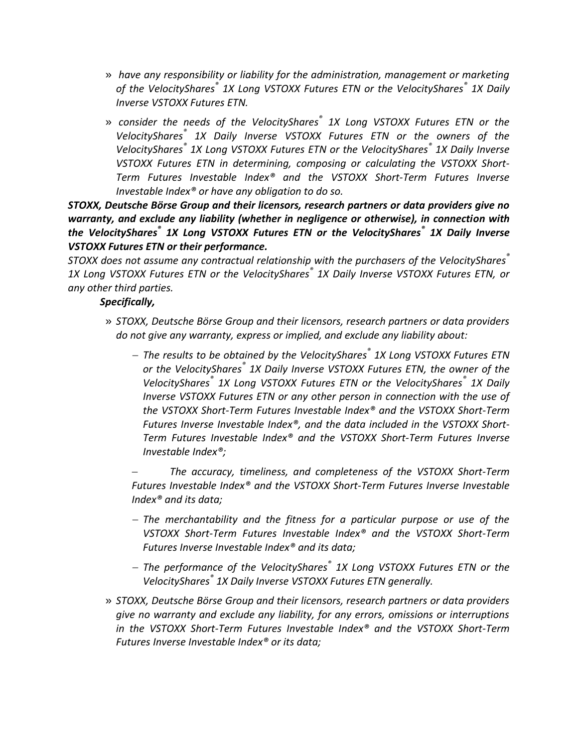- » *have any responsibility or liability for the administration, management or marketing of the VelocityShares® 1X Long VSTOXX Futures ETN or the VelocityShares® 1X Daily Inverse VSTOXX Futures ETN.*
- » *consider the needs of the VelocityShares® 1X Long VSTOXX Futures ETN or the VelocityShares® 1X Daily Inverse VSTOXX Futures ETN or the owners of the VelocityShares® 1X Long VSTOXX Futures ETN or the VelocityShares® 1X Daily Inverse VSTOXX Futures ETN in determining, composing or calculating the VSTOXX Short-Term Futures Investable Index® and the VSTOXX Short-Term Futures Inverse Investable Index® or have any obligation to do so.*

*STOXX, Deutsche Börse Group and their licensors, research partners or data providers give no warranty, and exclude any liability (whether in negligence or otherwise), in connection with the VelocityShares® 1X Long VSTOXX Futures ETN or the VelocityShares® 1X Daily Inverse VSTOXX Futures ETN or their performance.* 

*STOXX does not assume any contractual relationship with the purchasers of the VelocityShares® 1X Long VSTOXX Futures ETN or the VelocityShares® 1X Daily Inverse VSTOXX Futures ETN, or any other third parties.*

## *Specifically,*

- » *STOXX, Deutsche Börse Group and their licensors, research partners or data providers do not give any warranty, express or implied, and exclude any liability about:*
	- *The results to be obtained by the VelocityShares® 1X Long VSTOXX Futures ETN or the VelocityShares® 1X Daily Inverse VSTOXX Futures ETN, the owner of the VelocityShares® 1X Long VSTOXX Futures ETN or the VelocityShares® 1X Daily Inverse VSTOXX Futures ETN or any other person in connection with the use of the VSTOXX Short-Term Futures Investable Index® and the VSTOXX Short-Term Futures Inverse Investable Index®, and the data included in the VSTOXX Short-Term Futures Investable Index® and the VSTOXX Short-Term Futures Inverse Investable Index®;*

 *The accuracy, timeliness, and completeness of the VSTOXX Short-Term Futures Investable Index® and the VSTOXX Short-Term Futures Inverse Investable Index® and its data;*

- *The merchantability and the fitness for a particular purpose or use of the VSTOXX Short-Term Futures Investable Index® and the VSTOXX Short-Term Futures Inverse Investable Index® and its data;*
- *The performance of the VelocityShares® 1X Long VSTOXX Futures ETN or the VelocityShares® 1X Daily Inverse VSTOXX Futures ETN generally.*
- » *STOXX, Deutsche Börse Group and their licensors, research partners or data providers give no warranty and exclude any liability, for any errors, omissions or interruptions in the VSTOXX Short-Term Futures Investable Index® and the VSTOXX Short-Term Futures Inverse Investable Index® or its data;*